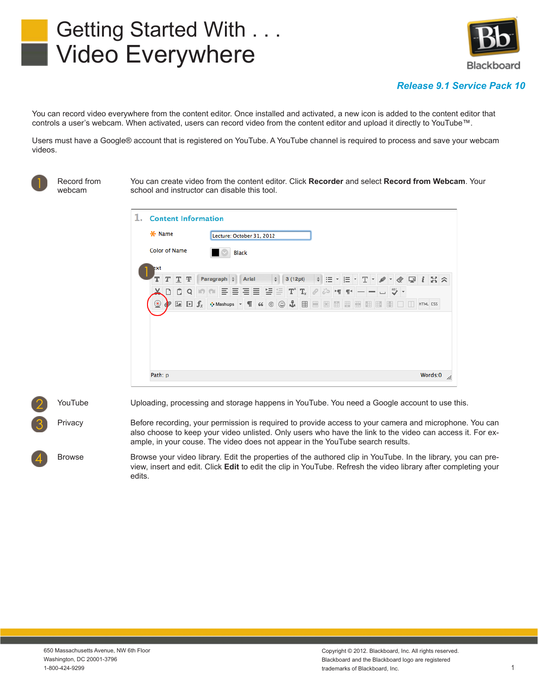# Getting Started With . . . Video Everywhere



## *Release 9.1 Service Pack 10*

You can record video everywhere from the content editor. Once installed and activated, a new icon is added to the content editor that controls a user's webcam. When activated, users can record video from the content editor and upload it directly to YouTube™.

Users must have a Google® account that is registered on YouTube. A YouTube channel is required to process and save your webcam videos.

Record from webcam

You can create video from the content editor. Click **Recorder** and select **Record from Webcam**. Your school and instructor can disable this tool.



YouTube Uploading, processing and storage happens in YouTube. You need a Google account to use this.

Privacy Before recording, your permission is required to provide access to your camera and microphone. You can also choose to keep your video unlisted. Only users who have the link to the video can access it. For example, in your couse. The video does not appear in the YouTube search results.

Browse Browse your video library. Edit the properties of the authored clip in YouTube. In the library, you can preview, insert and edit. Click **Edit** to edit the clip in YouTube. Refresh the video library after completing your edits.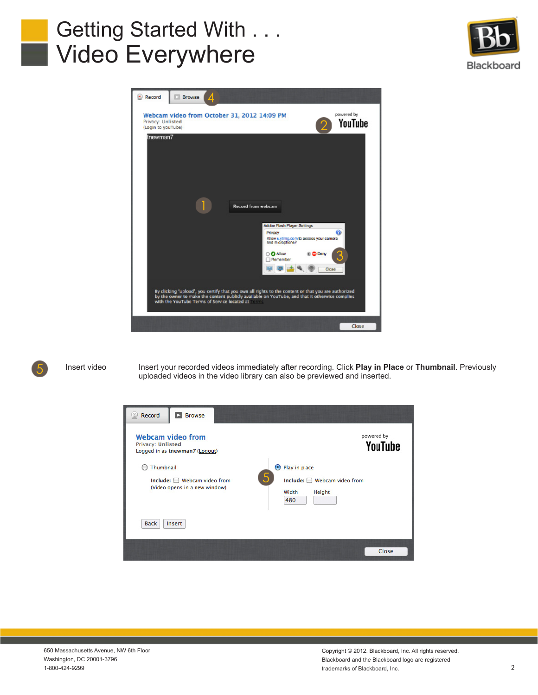# Getting Started With . . . Video Everywhere







Insert video Insert your recorded videos immediately after recording. Click **Play in Place** or Thumbnail. Previously uploaded videos in the video library can also be previewed and inserted.



Copyright © 2012. Blackboard, Inc. All rights reserved. Blackboard and the Blackboard logo are registered trademarks of Blackboard, Inc.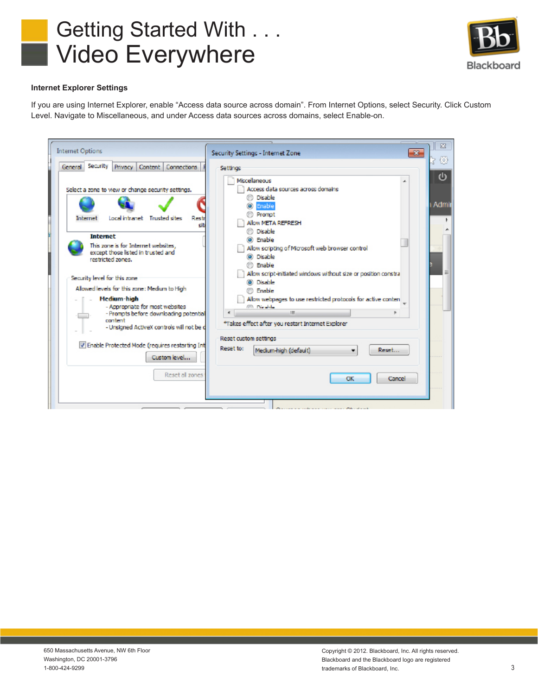



## **Internet Explorer Settings**

If you are using Internet Explorer, enable "Access data source across domain". From Internet Options, select Security. Click Custom Level. Navigate to Miscellaneous, and under Access data sources across domains, select Enable-on.

| <b>Internet Options</b>                                                                                                                                                                                                                                                                      | $\mathbf{x}$<br>Security Settings - Internet Zone                                                                                                                                                                                                                                                      |
|----------------------------------------------------------------------------------------------------------------------------------------------------------------------------------------------------------------------------------------------------------------------------------------------|--------------------------------------------------------------------------------------------------------------------------------------------------------------------------------------------------------------------------------------------------------------------------------------------------------|
| General Security<br>Privacy Content Connections<br>Select a zone to view or change security settings.<br>Local intranet Trusted sites<br>Restr<br>Internet<br>sib<br><b>Internet</b>                                                                                                         | Settings<br>Miscellaneous<br>Access data sources across domains<br><b><i>O</i></b> Disable<br>Admi<br>C Enable<br>Promot<br>Allow META REFRESH<br><b><i>O</i></b> Disable<br>ම Enable                                                                                                                  |
| This zone is for Internet websites.<br>except those listed in trusted and<br>restricted zones.<br>Security level for this zone<br>Alowed levels for this zone: Medium to High-<br><b>Medium-high</b><br>- Appropriate for most websites<br>- Promots before downloading potential<br>content | Allow scripting of Microsoft web browser control<br><sup>3</sup> Disable<br><b><i>C</i></b> Enable<br>Allow script-initiated windows without size or position constra<br><b>O</b> Disable<br><b>Enable</b><br>Allow webpages to use restricted protocols for active conten-<br><b>CONTRACTOR</b><br>m. |
| - Unsigned ActiveX controls will not be d<br>I Enable Protected Mode (requires restarting Int<br>Custom level<br>Reset all zones                                                                                                                                                             | *Takes effect after you restart Internet Explorer<br>Reset custom settings<br>Reset to:<br>Medium-high (default)<br>Reset<br>٠<br>Cancel<br>OK                                                                                                                                                         |